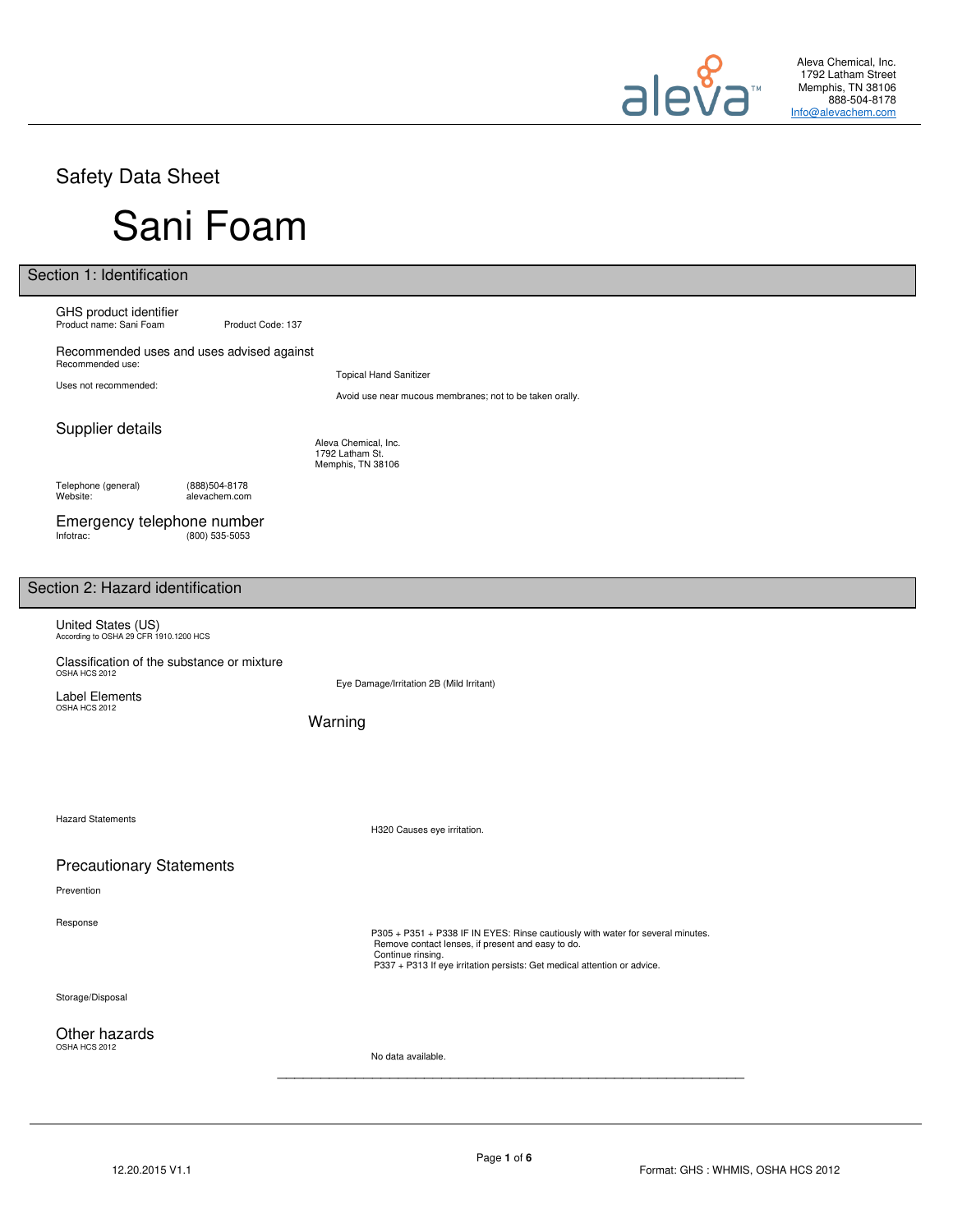

Aleva Chemical, Inc. 1792 Latham Street Memphis, TN 38106 888-504-8178 [Info@alevachem.com](mailto:Info@alevachem.com)

Safety Data Sheet

# Sani Foam

| Section 1: Identification                                                                                                           |                                                                                                                                                                                                                                       |  |  |
|-------------------------------------------------------------------------------------------------------------------------------------|---------------------------------------------------------------------------------------------------------------------------------------------------------------------------------------------------------------------------------------|--|--|
| GHS product identifier<br>Product name: Sani Foam<br>Product Code: 137                                                              |                                                                                                                                                                                                                                       |  |  |
| Recommended uses and uses advised against<br>Recommended use:                                                                       | <b>Topical Hand Sanitizer</b>                                                                                                                                                                                                         |  |  |
| Uses not recommended:                                                                                                               | Avoid use near mucous membranes; not to be taken orally.                                                                                                                                                                              |  |  |
| Supplier details                                                                                                                    | Aleva Chemical, Inc.<br>1792 Latham St.<br>Memphis, TN 38106                                                                                                                                                                          |  |  |
| Telephone (general)<br>(888) 504-8178<br>Website:<br>alevachem.com                                                                  |                                                                                                                                                                                                                                       |  |  |
| Emergency telephone number<br>(800) 535-5053<br>Infotrac:                                                                           |                                                                                                                                                                                                                                       |  |  |
|                                                                                                                                     |                                                                                                                                                                                                                                       |  |  |
| Section 2: Hazard identification                                                                                                    |                                                                                                                                                                                                                                       |  |  |
| $\left.\rm{United\ States}\left(\rm{US}\right)\right.\qquad\qquad \\ \vspace{0.08cm} \text{According to OSHA 29 CFR 1910.1200 HCS}$ |                                                                                                                                                                                                                                       |  |  |
| Classification of the substance or mixture<br>OSHA HCS 2012                                                                         |                                                                                                                                                                                                                                       |  |  |
| <b>Label Elements</b><br>OSHA HCS 2012                                                                                              | Eye Damage/Irritation 2B (Mild Irritant)                                                                                                                                                                                              |  |  |
|                                                                                                                                     | Warning                                                                                                                                                                                                                               |  |  |
|                                                                                                                                     |                                                                                                                                                                                                                                       |  |  |
|                                                                                                                                     |                                                                                                                                                                                                                                       |  |  |
| <b>Hazard Statements</b>                                                                                                            | H320 Causes eye irritation.                                                                                                                                                                                                           |  |  |
| <b>Precautionary Statements</b>                                                                                                     |                                                                                                                                                                                                                                       |  |  |
| Prevention                                                                                                                          |                                                                                                                                                                                                                                       |  |  |
| Response                                                                                                                            | P305 + P351 + P338 IF IN EYES: Rinse cautiously with water for several minutes.<br>Remove contact lenses, if present and easy to do.<br>Continue rinsing.<br>P337 + P313 If eye irritation persists: Get medical attention or advice. |  |  |
| Storage/Disposal                                                                                                                    |                                                                                                                                                                                                                                       |  |  |
| Other hazards<br>OSHA HCS 2012                                                                                                      | No data available.                                                                                                                                                                                                                    |  |  |
|                                                                                                                                     |                                                                                                                                                                                                                                       |  |  |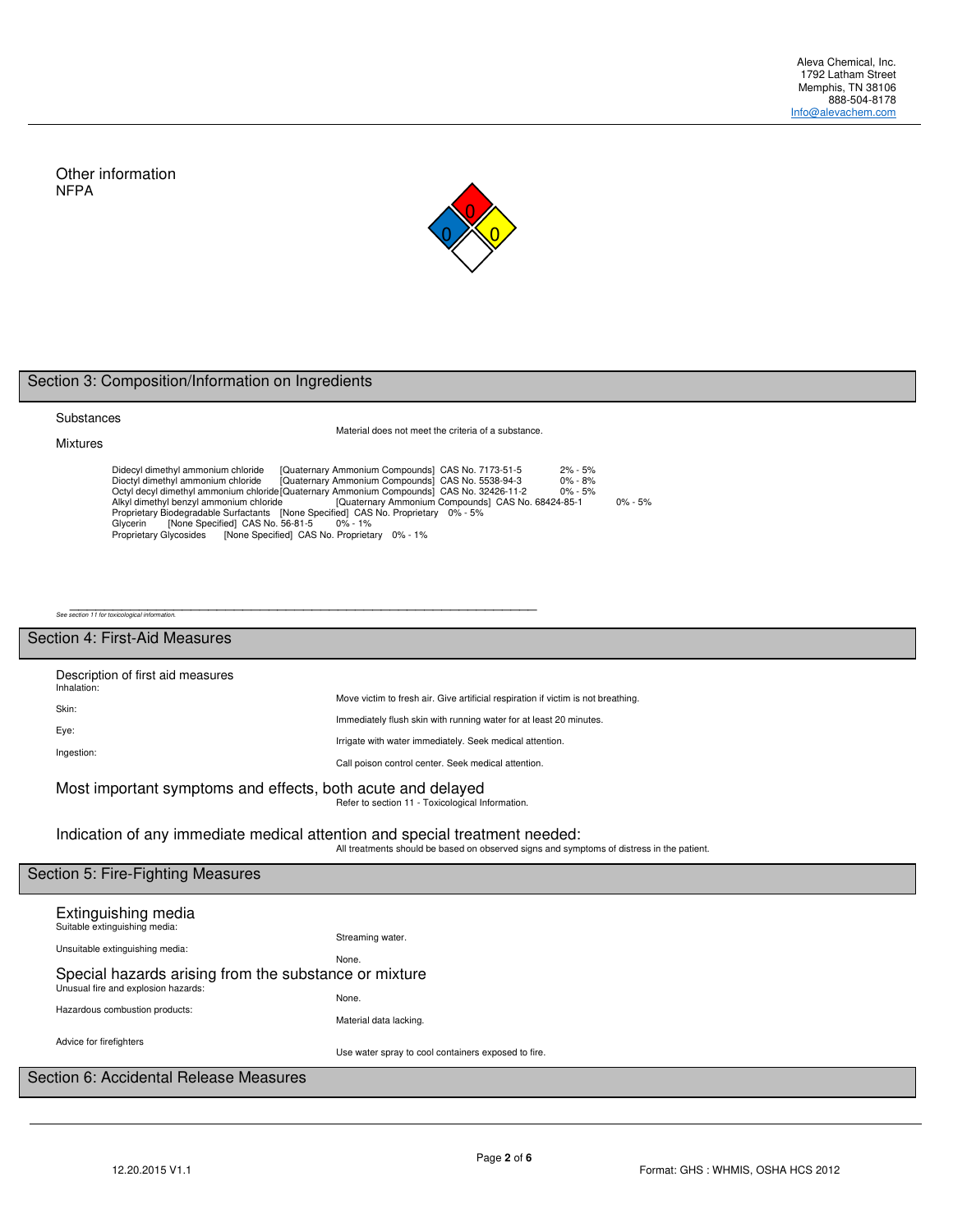Other information NFPA



#### Section 3: Composition/Information on Ingredients

## Substances Mixtures

Material does not meet the criteria of a substance.

Didecyl dimethyl ammonium chloride [Quaternary Ammonium Compounds] CAS No. 7173-51-5 2% - 5%<br>Dicctyl dimethyl ammonium chloride [Quaternary Ammonium Compounds] CAS No. 5538-94-3 0% - 8%<br>Detyl decyl dimethyl ammonium chlori

\_\_\_\_\_\_\_\_\_\_\_\_\_\_\_\_\_\_\_\_\_\_\_\_\_\_\_\_\_\_\_\_\_\_\_\_\_\_\_\_\_\_\_\_\_\_\_\_\_\_\_\_\_\_ See section 11 for toxicological information.

## Section 4: First-Aid Measures

| Description of first aid measures<br>Inhalation:                                             |                                                                                           |
|----------------------------------------------------------------------------------------------|-------------------------------------------------------------------------------------------|
| Skin:                                                                                        | Move victim to fresh air. Give artificial respiration if victim is not breathing.         |
|                                                                                              | Immediately flush skin with running water for at least 20 minutes.                        |
| Eye:                                                                                         | Irrigate with water immediately. Seek medical attention.                                  |
| Ingestion:                                                                                   | Call poison control center. Seek medical attention.                                       |
| Most important symptoms and effects, both acute and delayed                                  | Refer to section 11 - Toxicological Information.                                          |
| Indication of any immediate medical attention and special treatment needed:                  | All treatments should be based on observed signs and symptoms of distress in the patient. |
| Section 5: Fire-Fighting Measures                                                            |                                                                                           |
| Extinguishing media<br>Suitable extinguishing media:                                         |                                                                                           |
| Unsuitable extinguishing media:                                                              | Streaming water.                                                                          |
| Special hazards arising from the substance or mixture<br>Unusual fire and explosion hazards: | None.                                                                                     |
| Hazardous combustion products:                                                               | None.                                                                                     |
|                                                                                              | Material data lacking.                                                                    |
| Advice for firefighters                                                                      | Use water spray to cool containers exposed to fire.                                       |
| Section 6: Accidental Release Measures                                                       |                                                                                           |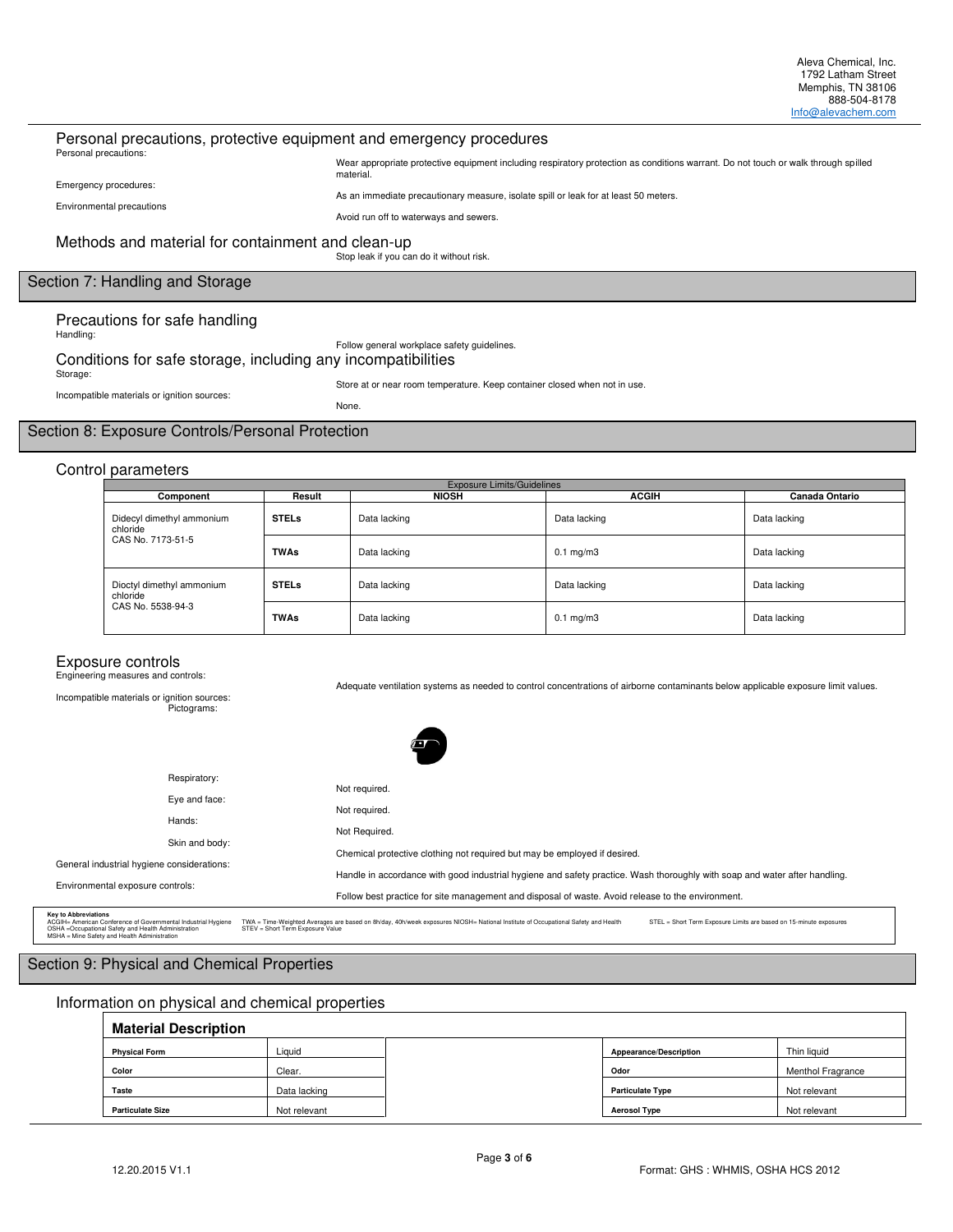#### Personal precautions, protective equipment and emergency procedures Personal precautions:

Wear appropriate protective equipment including respiratory protection as conditions warrant. Do not touch or walk through spilled material.

Emergency procedures:

Environmental precautions

Avoid run off to waterways and sewers.

#### Methods and material for containment and clean-up

Stop leak if you can do it without risk.

### Section 7: Handling and Storage

| Precautions for safe handling |  |  |
|-------------------------------|--|--|
| Handling:                     |  |  |

Follow general workplace safety guidelines. Conditions for safe storage, including any incompatibilities Storage: Store at or near room temperature. Keep container closed when not in use.

Incompatible materials or ignition sources:

None.

As an immediate precautionary measure, isolate spill or leak for at least 50 meters.

#### Section 8: Exposure Controls/Personal Protection

#### Control parameters

| Component                                                  | Result       | <b>NIOSH</b> | <b>ACGIH</b>   | Canada Ontario |
|------------------------------------------------------------|--------------|--------------|----------------|----------------|
| Didecyl dimethyl ammonium<br>chloride<br>CAS No. 7173-51-5 | <b>STELs</b> | Data lacking | Data lacking   | Data lacking   |
|                                                            | <b>TWAs</b>  | Data lacking | $0.1$ mg/m $3$ | Data lacking   |
| Dioctyl dimethyl ammonium<br>chloride<br>CAS No. 5538-94-3 | <b>STELs</b> | Data lacking | Data lacking   | Data lacking   |
|                                                            | <b>TWAs</b>  | Data lacking | $0.1$ mg/m $3$ | Data lacking   |

#### Exposure controls

MSHA = Mine Safety and Health Administration

Engineering measures and controls:

Adequate ventilation systems as needed to control concentrations of airborne contaminants below applicable exposure limit values.

Incompatible materials or ignition sources: Pictograms:

| Respiratory:                                                                                                                                        |                                                                                                                                                                                                                                            |
|-----------------------------------------------------------------------------------------------------------------------------------------------------|--------------------------------------------------------------------------------------------------------------------------------------------------------------------------------------------------------------------------------------------|
| Eye and face:                                                                                                                                       | Not required.                                                                                                                                                                                                                              |
| Hands:                                                                                                                                              | Not required.                                                                                                                                                                                                                              |
| Skin and body:                                                                                                                                      | Not Required.                                                                                                                                                                                                                              |
|                                                                                                                                                     | Chemical protective clothing not required but may be employed if desired.                                                                                                                                                                  |
| General industrial hygiene considerations:                                                                                                          | Handle in accordance with good industrial hygiene and safety practice. Wash thoroughly with soap and water after handling.                                                                                                                 |
| Environmental exposure controls:                                                                                                                    | Follow best practice for site management and disposal of waste. Avoid release to the environment.                                                                                                                                          |
| <b>Key to Abbreviations</b><br>ACGIH= American Conference of Governmental Industrial Hygiene<br>OSHA =Occupational Safety and Health Administration | TWA = Time-Weighted Averages are based on 8h/day, 40h/week exposures NIOSH= National Institute of Occupational Safety and Health<br>STEL = Short Term Exposure Limits are based on 15-minute exposures<br>STEV = Short Term Exposure Value |

## Section 9: Physical and Chemical Properties

#### Information on physical and chemical properties

| <b>Material Description</b> |              |  |                               |                          |
|-----------------------------|--------------|--|-------------------------------|--------------------------|
| <b>Physical Form</b>        | Liauid       |  | <b>Appearance/Description</b> | Thin liquid              |
| Color                       | Clear.       |  | Odor                          | <b>Menthol Fragrance</b> |
| <b>Taste</b>                | Data lacking |  | <b>Particulate Type</b>       | Not relevant             |
| <b>Particulate Size</b>     | Not relevant |  | <b>Aerosol Type</b>           | Not relevant             |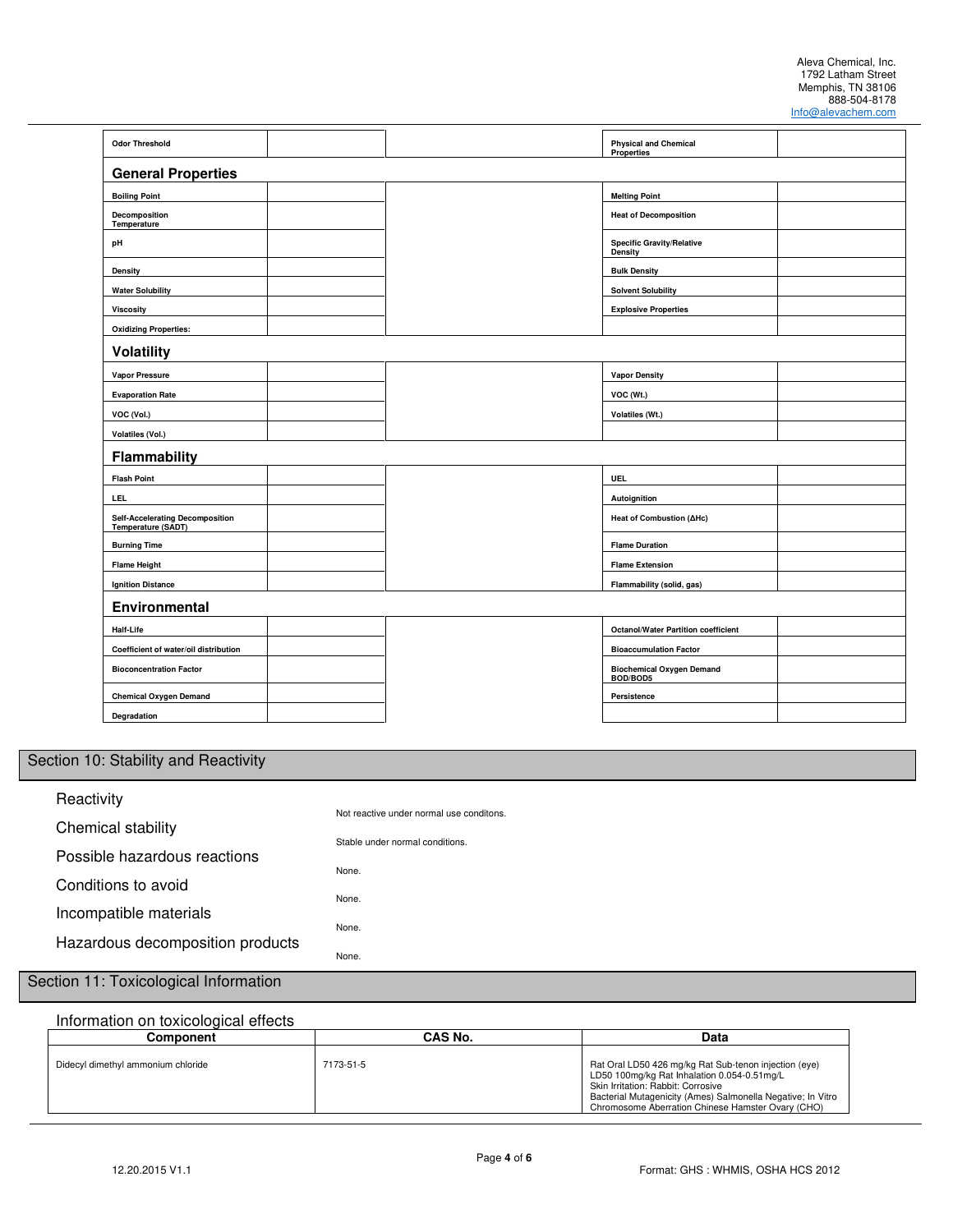| <b>Odor Threshold</b>                                        |  |  | <b>Physical and Chemical</b><br>Properties         |  |  |
|--------------------------------------------------------------|--|--|----------------------------------------------------|--|--|
| <b>General Properties</b>                                    |  |  |                                                    |  |  |
| <b>Boiling Point</b>                                         |  |  | <b>Melting Point</b>                               |  |  |
| Decomposition<br>Temperature                                 |  |  | <b>Heat of Decomposition</b>                       |  |  |
| рH                                                           |  |  | <b>Specific Gravity/Relative</b><br><b>Density</b> |  |  |
| Density                                                      |  |  | <b>Bulk Density</b>                                |  |  |
| <b>Water Solubility</b>                                      |  |  | <b>Solvent Solubility</b>                          |  |  |
| <b>Viscosity</b>                                             |  |  | <b>Explosive Properties</b>                        |  |  |
| <b>Oxidizing Properties:</b>                                 |  |  |                                                    |  |  |
| <b>Volatility</b>                                            |  |  |                                                    |  |  |
| <b>Vapor Pressure</b>                                        |  |  | <b>Vapor Density</b>                               |  |  |
| <b>Evaporation Rate</b>                                      |  |  | VOC (Wt.)                                          |  |  |
| VOC (Vol.)                                                   |  |  | Volatiles (Wt.)                                    |  |  |
| Volatiles (Vol.)                                             |  |  |                                                    |  |  |
| Flammability                                                 |  |  |                                                    |  |  |
| <b>Flash Point</b>                                           |  |  | UEL                                                |  |  |
| LEL                                                          |  |  | Autoignition                                       |  |  |
| <b>Self-Accelerating Decomposition</b><br>Temperature (SADT) |  |  | Heat of Combustion (AHc)                           |  |  |
| <b>Burning Time</b>                                          |  |  | <b>Flame Duration</b>                              |  |  |
| <b>Flame Height</b>                                          |  |  | <b>Flame Extension</b>                             |  |  |
| <b>Ignition Distance</b>                                     |  |  | Flammability (solid, gas)                          |  |  |
| Environmental                                                |  |  |                                                    |  |  |
| Half-Life                                                    |  |  | <b>Octanol/Water Partition coefficient</b>         |  |  |
| Coefficient of water/oil distribution                        |  |  | <b>Bioaccumulation Factor</b>                      |  |  |
| <b>Bioconcentration Factor</b>                               |  |  | <b>Biochemical Oxygen Demand</b><br>BOD/BOD5       |  |  |
| <b>Chemical Oxygen Demand</b>                                |  |  | Persistence                                        |  |  |
| Degradation                                                  |  |  |                                                    |  |  |
|                                                              |  |  |                                                    |  |  |

# Section 10: Stability and Reactivity

| Reactivity                       |                                          |
|----------------------------------|------------------------------------------|
| Chemical stability               | Not reactive under normal use conditons. |
| Possible hazardous reactions     | Stable under normal conditions.          |
| Conditions to avoid              | None                                     |
| Incompatible materials           | None.                                    |
| Hazardous decomposition products | None.                                    |
|                                  | None.                                    |

# Section 11: Toxicological Information

| Component                          | CAS No.   | Data                                                                                                                                                                                                                                                           |
|------------------------------------|-----------|----------------------------------------------------------------------------------------------------------------------------------------------------------------------------------------------------------------------------------------------------------------|
| Didecyl dimethyl ammonium chloride | 7173-51-5 | Rat Oral LD50 426 mg/kg Rat Sub-tenon injection (eye)<br>LD50 100mg/kg Rat Inhalation 0.054-0.51mg/L<br>Skin Irritation: Rabbit: Corrosive<br>Bacterial Mutagenicity (Ames) Salmonella Negative; In Vitro<br>Chromosome Aberration Chinese Hamster Ovary (CHO) |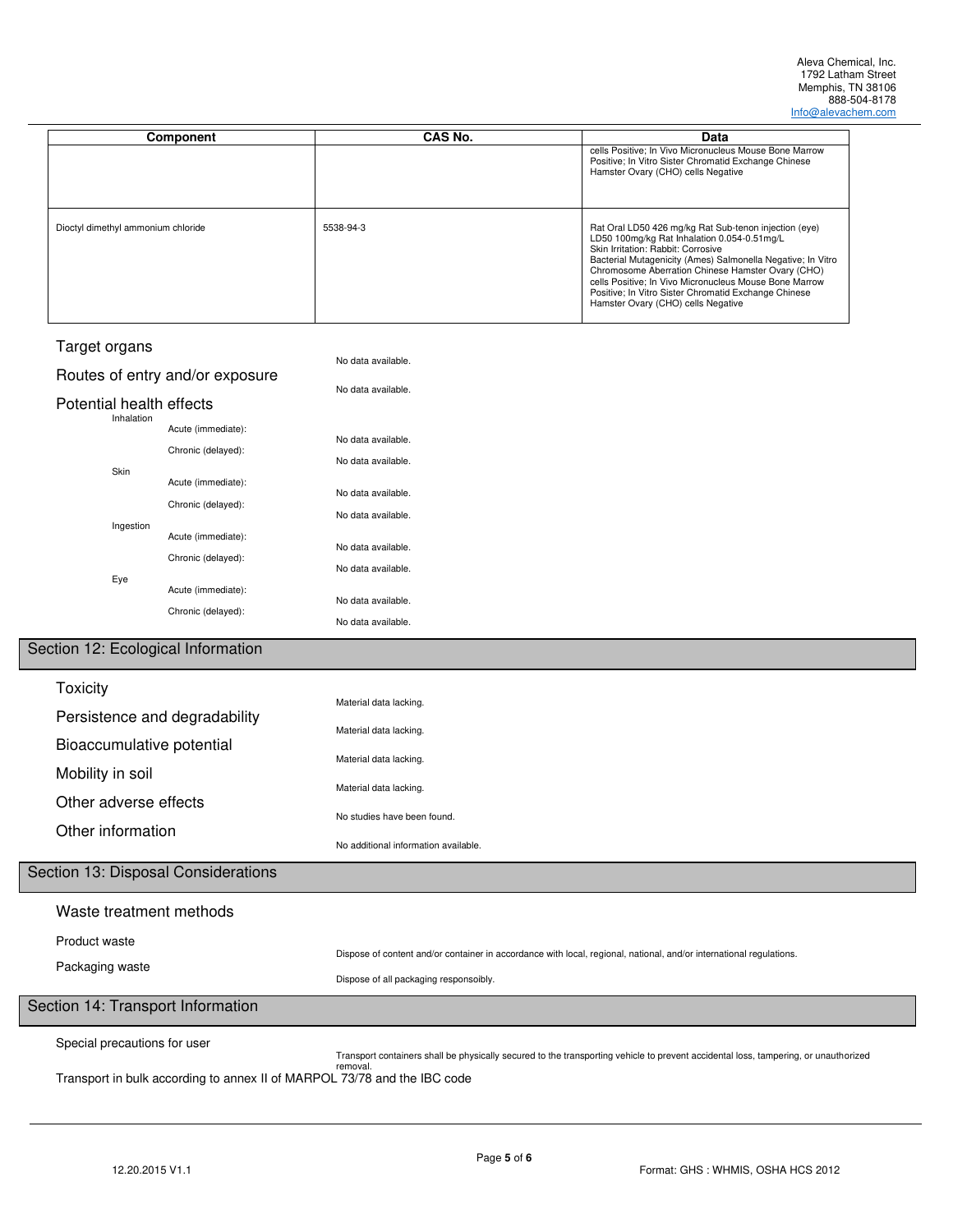| Component                          | CAS No.   | Data                                                                                                                                                                                                                                                                                                                                                                                                                   |
|------------------------------------|-----------|------------------------------------------------------------------------------------------------------------------------------------------------------------------------------------------------------------------------------------------------------------------------------------------------------------------------------------------------------------------------------------------------------------------------|
|                                    |           | cells Positive; In Vivo Micronucleus Mouse Bone Marrow<br>Positive; In Vitro Sister Chromatid Exchange Chinese<br>Hamster Ovary (CHO) cells Negative                                                                                                                                                                                                                                                                   |
| Dioctyl dimethyl ammonium chloride | 5538-94-3 | Rat Oral LD50 426 mg/kg Rat Sub-tenon injection (eye)<br>LD50 100mg/kg Rat Inhalation 0.054-0.51mg/L<br>Skin Irritation: Rabbit: Corrosive<br>Bacterial Mutagenicity (Ames) Salmonella Negative; In Vitro<br>Chromosome Aberration Chinese Hamster Ovary (CHO)<br>cells Positive; In Vivo Micronucleus Mouse Bone Marrow<br>Positive; In Vitro Sister Chromatid Exchange Chinese<br>Hamster Ovary (CHO) cells Negative |

| Target organs                          |                                                                                                                                                        | No data available.                                                                                                               |
|----------------------------------------|--------------------------------------------------------------------------------------------------------------------------------------------------------|----------------------------------------------------------------------------------------------------------------------------------|
|                                        | Routes of entry and/or exposure                                                                                                                        |                                                                                                                                  |
| Potential health effects               |                                                                                                                                                        | No data available.                                                                                                               |
| Inhalation<br>Skin<br>Ingestion<br>Eye | Acute (immediate):<br>Chronic (delayed):<br>Acute (immediate):<br>Chronic (delayed):<br>Acute (immediate):<br>Chronic (delayed):<br>Acute (immediate): | No data available.<br>No data available.<br>No data available.<br>No data available.<br>No data available.<br>No data available. |
|                                        | Chronic (delayed):                                                                                                                                     | No data available.<br>No data available.                                                                                         |

## Section 12: Ecological Information

| <b>Toxicity</b>                            |                                      |
|--------------------------------------------|--------------------------------------|
| Persistence and degradability              | Material data lacking.               |
| Bioaccumulative potential                  | Material data lacking.               |
| Mobility in soil                           | Material data lacking.               |
| Other adverse effects<br>Other information | Material data lacking.               |
|                                            | No studies have been found.          |
|                                            | No additional information available. |

## Section 13: Disposal Considerations

| Waste treatment methods           |                                                                                                                                                               |
|-----------------------------------|---------------------------------------------------------------------------------------------------------------------------------------------------------------|
| Product waste<br>Packaging waste  | Dispose of content and/or container in accordance with local, regional, national, and/or international regulations.<br>Dispose of all packaging responsoibly. |
| Cootian 14: Transport Information |                                                                                                                                                               |

#### Section 14: Transport Information

Special precautions for user

Transport containers shall be physically secured to the transporting vehicle to prevent accidental loss, tampering, or unauthorized

removal. Transport in bulk according to annex II of MARPOL 73/78 and the IBC code